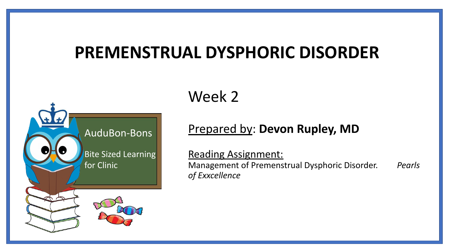### **PREMENSTRUAL DYSPHORIC DISORDER**



Week 2

### Prepared by: **Devon Rupley, MD**

Reading Assignment: Management of Premenstrual Dysphoric Disorder. *Pearls of Exxcellence*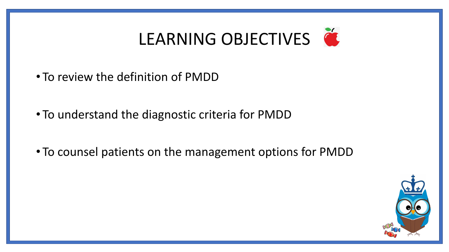# LEARNING OBJECTIVES

- To review the definition of PMDD
- To understand the diagnostic criteria for PMDD
- To counsel patients on the management options for PMDD

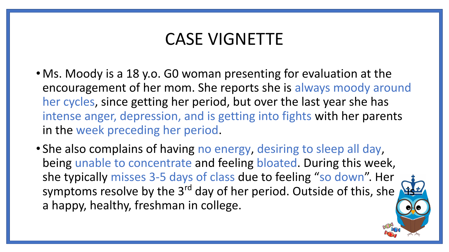### CASE VIGNETTE

- Ms. Moody is a 18 y.o. GO woman presenting for evaluation at the encouragement of her mom. She reports she is always moody around her cycles, since getting her period, but over the last year she has intense anger, depression, and is getting into fights with her parents in the week preceding her period.
- She also complains of having no energy, desiring to sleep all day, being unable to concentrate and feeling bloated. During this week, she typically misses 3-5 days of class due to feeling "so down". Her symptoms resolve by the 3<sup>rd</sup> day of her period. Outside of this, she a happy, healthy, freshman in college.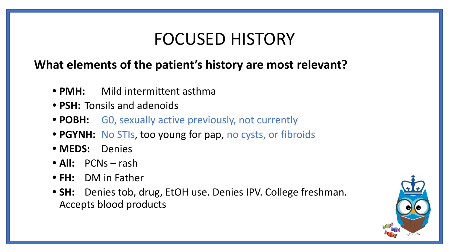### FOCUSED HISTORY

### **What elements of the patient's history are most relevant?**

- **PMH:** Mild intermittent asthma
- **• PSH:** Tonsils and adenoids
- **• POBH:** G0, sexually active previously, not currently
- **• PGYNH:** No STIs, too young for pap, no cysts, or fibroids
- **• MEDS:** Denies
- **• All:** PCNs rash
- **• FH:** DM in Father
- **• SH:** Denies tob, drug, EtOH use. Denies IPV. College freshman. Accepts blood products

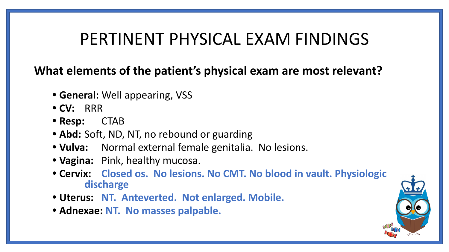### PERTINENT PHYSICAL EXAM FINDINGS

**What elements of the patient's physical exam are most relevant?**

- **• General:** Well appearing, VSS
- **• CV:** RRR
- **• Resp:** CTAB
- **• Abd:** Soft, ND, NT, no rebound or guarding
- **• Vulva:** Normal external female genitalia. No lesions.
- **• Vagina:** Pink, healthy mucosa.
- **• Cervix: Closed os. No lesions. No CMT. No blood in vault. Physiologic discharge**
- **• Uterus: NT. Anteverted. Not enlarged. Mobile.**
- **• Adnexae: NT. No masses palpable.**

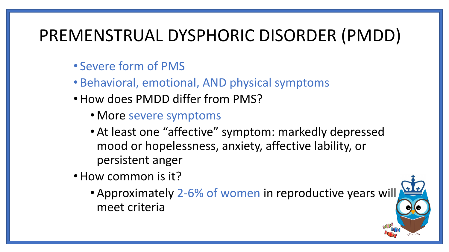## PREMENSTRUAL DYSPHORIC DISORDER (PMDD)

- Severe form of PMS
- Behavioral, emotional, AND physical symptoms
- •How does PMDD differ from PMS?
	- More severe symptoms
	- •At least one "affective" symptom: markedly depressed mood or hopelessness, anxiety, affective lability, or persistent anger
- •How common is it?
	- •Approximately 2-6% of women in reproductive years will meet criteria

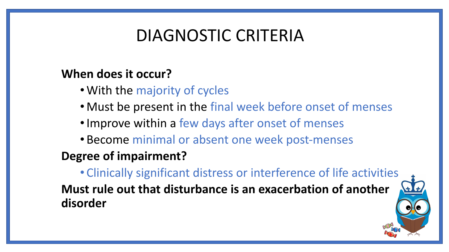### DIAGNOSTIC CRITERIA

### **When does it occur?**

- •With the majority of cycles
- Must be present in the final week before onset of menses
- •Improve within a few days after onset of menses
- Become minimal or absent one week post-menses

### **Degree of impairment?**

• Clinically significant distress or interference of life activities **Must rule out that disturbance is an exacerbation of another disorder**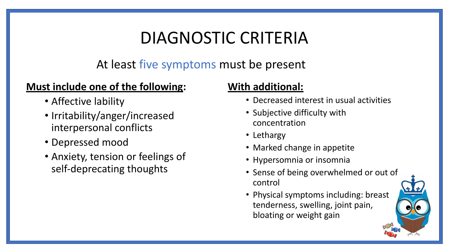## DIAGNOSTIC CRITERIA

At least five symptoms must be present

#### **Must include one of the following:**

- Affective lability
- Irritability/anger/increased interpersonal conflicts
- Depressed mood
- Anxiety, tension or feelings of self-deprecating thoughts

#### **With additional:**

- Decreased interest in usual activities
- Subjective difficulty with concentration
- Lethargy
- Marked change in appetite
- Hypersomnia or insomnia
- Sense of being overwhelmed or out of control
- Physical symptoms including: breast tenderness, swelling, joint pain, bloating or weight gain

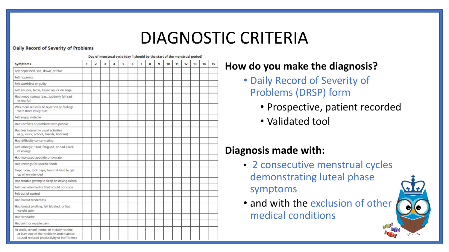### DIAGNOSTIC CRITERIA

#### **Daily Record of Severity of Problems**

| Symptoms                                                                                                                               | Day of menstrual cycle (day 1 should be the start of the menstrual period) |                |   |   |   |   |                |   |   |    |    |    |    |    |    |
|----------------------------------------------------------------------------------------------------------------------------------------|----------------------------------------------------------------------------|----------------|---|---|---|---|----------------|---|---|----|----|----|----|----|----|
|                                                                                                                                        | 1                                                                          | $\overline{2}$ | 3 | 4 | 5 | 6 | $\overline{7}$ | 8 | 9 | 10 | 11 | 12 | 13 | 14 | 15 |
| Felt depressed, sad, down, or blue                                                                                                     |                                                                            |                |   |   |   |   |                |   |   |    |    |    |    |    |    |
| Felt hopeless                                                                                                                          |                                                                            |                |   |   |   |   |                |   |   |    |    |    |    |    |    |
| Felt worthless or guilty                                                                                                               |                                                                            |                |   |   |   |   |                |   |   |    |    |    |    |    |    |
| Felt anxious, tense, keyed up, or on edge                                                                                              |                                                                            |                |   |   |   |   |                |   |   |    |    |    |    |    |    |
| Had mood swings (e.g., suddenly felt sad<br>or tearful)                                                                                |                                                                            |                |   |   |   |   |                |   |   |    |    |    |    |    |    |
| Was more sensitive to rejection or feelings<br>were more easily hurt                                                                   |                                                                            |                |   |   |   |   |                |   |   |    |    |    |    |    |    |
| Felt angry, irritable                                                                                                                  |                                                                            |                |   |   |   |   |                |   |   |    |    |    |    |    |    |
| Had conflicts or problems with people                                                                                                  |                                                                            |                |   |   |   |   |                |   |   |    |    |    |    |    |    |
| Had less interest in usual activities<br>(e.g., work, school, friends, hobbies)                                                        |                                                                            |                |   |   |   |   |                |   |   |    |    |    |    |    |    |
| Had difficulty concentrating                                                                                                           |                                                                            |                |   |   |   |   |                |   |   |    |    |    |    |    |    |
| Felt lethargic, tired, fatigued, or had a lack<br>of energy                                                                            |                                                                            |                |   |   |   |   |                |   |   |    |    |    |    |    |    |
| Had increased appetite or overate                                                                                                      |                                                                            |                |   |   |   |   |                |   |   |    |    |    |    |    |    |
| Had cravings for specific foods                                                                                                        |                                                                            |                |   |   |   |   |                |   |   |    |    |    |    |    |    |
| Slept more, took naps, found it hard to get<br>up when intended                                                                        |                                                                            |                |   |   |   |   |                |   |   |    |    |    |    |    |    |
| Had trouble getting to sleep or staying asleep                                                                                         |                                                                            |                |   |   |   |   |                |   |   |    |    |    |    |    |    |
| Felt overwhelmed or that I could not cope                                                                                              |                                                                            |                |   |   |   |   |                |   |   |    |    |    |    |    |    |
| Felt out of control                                                                                                                    |                                                                            |                |   |   |   |   |                |   |   |    |    |    |    |    |    |
| Had breast tenderness                                                                                                                  |                                                                            |                |   |   |   |   |                |   |   |    |    |    |    |    |    |
| Had breast swelling, felt bloated, or had<br>weight gain                                                                               |                                                                            |                |   |   |   |   |                |   |   |    |    |    |    |    |    |
| Had headache                                                                                                                           |                                                                            |                |   |   |   |   |                |   |   |    |    |    |    |    |    |
| Had joint or muscle pain                                                                                                               |                                                                            |                |   |   |   |   |                |   |   |    |    |    |    |    |    |
| At work, school, home, or in daily routine,<br>at least one of the problems noted above<br>caused reduced productivity or inefficiency |                                                                            |                |   |   |   |   |                |   |   |    |    |    |    |    |    |

#### **How do you make the diagnosis?**

- Daily Record of Severity of Problems (DRSP) form
	- Prospective, patient recorded
	- Validated tool

#### **Diagnosis made with:**

- 2 consecutive menstrual cycles demonstrating luteal phase symptoms
- and with the exclusion of other medical conditions

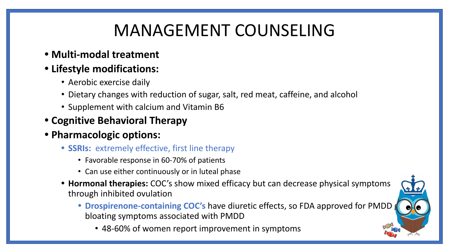# MANAGEMENT COUNSELING

**• Multi-modal treatment**

#### **• Lifestyle modifications:**

- Aerobic exercise daily
- Dietary changes with reduction of sugar, salt, red meat, caffeine, and alcohol
- Supplement with calcium and Vitamin B6
- **• Cognitive Behavioral Therapy**
- **• Pharmacologic options:**
	- **• SSRIs:** extremely effective, first line therapy
		- Favorable response in 60-70% of patients
		- Can use either continuously or in luteal phase
	- **• Hormonal therapies:** COC's show mixed efficacy but can decrease physical symptoms through inhibited ovulation
		- **Drospirenone-containing COC's** have diuretic effects, so FDA approved for PMDD bloating symptoms associated with PMDD
			- 48-60% of women report improvement in symptoms

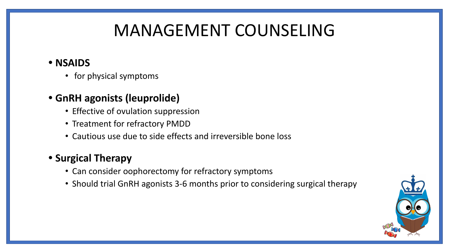# MANAGEMENT COUNSELING

#### **• NSAIDS**

• for physical symptoms

#### **• GnRH agonists (leuprolide)**

- Effective of ovulation suppression
- Treatment for refractory PMDD
- Cautious use due to side effects and irreversible bone loss

#### **• Surgical Therapy**

- Can consider oophorectomy for refractory symptoms
- Should trial GnRH agonists 3-6 months prior to considering surgical therapy

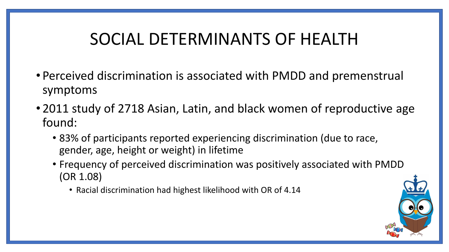## SOCIAL DETERMINANTS OF HEALTH

- Perceived discrimination is associated with PMDD and premenstrual symptoms
- 2011 study of 2718 Asian, Latin, and black women of reproductive age found:
	- 83% of participants reported experiencing discrimination (due to race, gender, age, height or weight) in lifetime
	- Frequency of perceived discrimination was positively associated with PMDD (OR 1.08)
		- Racial discrimination had highest likelihood with OR of 4.14

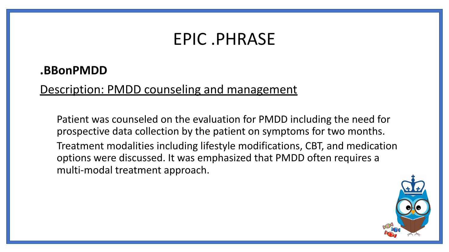### EPIC .PHRASE

#### **.BBonPMDD**

#### Description: PMDD counseling and management

Patient was counseled on the evaluation for PMDD including the need for prospective data collection by the patient on symptoms for two months. Treatment modalities including lifestyle modifications, CBT, and medication options were discussed. It was emphasized that PMDD often requires a multi-modal treatment approach.

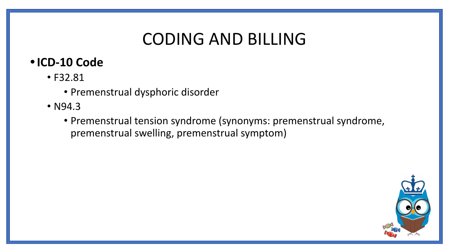## CODING AND BILLING

### **•ICD-10 Code**

- F32.81
	- Premenstrual dysphoric disorder
- N94.3
	- Premenstrual tension syndrome (synonyms: premenstrual syndrome, premenstrual swelling, premenstrual symptom)